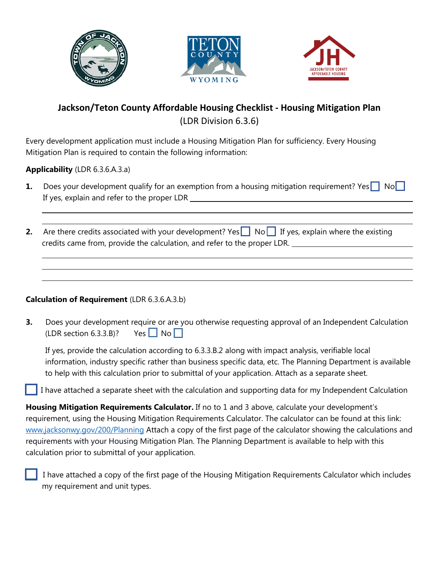





## **Jackson/Teton County Affordable Housing Checklist - Housing Mitigation Plan** (LDR Division 6.3.6)

Every development application must include a Housing Mitigation Plan for sufficiency. Every Housing Mitigation Plan is required to contain the following information:

**Applicability** (LDR 6.3.6.A.3.a)

- **1.** Does your development qualify for an exemption from a housing mitigation requirement? Yes No If yes, explain and refer to the proper LDR
- **2.** Are there credits associated with your development? Yes No If yes, explain where the existing credits came from, provide the calculation, and refer to the proper LDR.

## **Calculation of Requirement** (LDR 6.3.6.A.3.b)

**3.** Does your development require or are you otherwise requesting approval of an Independent Calculation (LDR section 6.3.3.B)? Yes  $\Box$  No  $\Box$ 

If yes, provide the calculation according to 6.3.3.B.2 along with impact analysis, verifiable local information, industry specific rather than business specific data, etc. The Planning Department is available to help with this calculation prior to submittal of your application. Attach as a separate sheet.

I have attached a separate sheet with the calculation and supporting data for my Independent Calculation

**Housing Mitigation Requirements Calculator.** If no to 1 and 3 above, calculate your development's requirement, using the Housing Mitigation Requirements Calculator. The calculator can be found at this link: [www.jacksonwy.gov/200/Planning](http://www.jacksonwy.gov/200/Planning) Attach a copy of the first page of the calculator showing the calculations and requirements with your Housing Mitigation Plan. The Planning Department is available to help with this calculation prior to submittal of your application.

 I have attached a copy of the first page of the Housing Mitigation Requirements Calculator which includes my requirement and unit types.